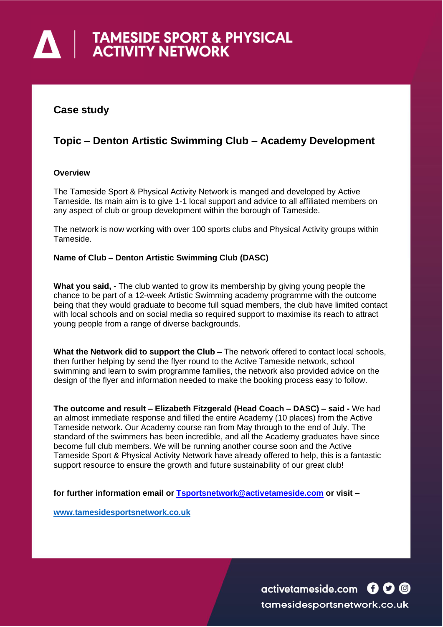# **A | TAMESIDE SPORT & PHYSICAL**

### **Case study**

## **Topic – Denton Artistic Swimming Club – Academy Development**

#### **Overview**

The Tameside Sport & Physical Activity Network is manged and developed by Active Tameside. Its main aim is to give 1-1 local support and advice to all affiliated members on any aspect of club or group development within the borough of Tameside.

The network is now working with over 100 sports clubs and Physical Activity groups within Tameside.

#### **Name of Club – Denton Artistic Swimming Club (DASC)**

**What you said, -** The club wanted to grow its membership by giving young people the chance to be part of a 12-week Artistic Swimming academy programme with the outcome being that they would graduate to become full squad members, the club have limited contact with local schools and on social media so required support to maximise its reach to attract young people from a range of diverse backgrounds.

**What the Network did to support the Club –** The network offered to contact local schools, then further helping by send the flyer round to the Active Tameside network, school swimming and learn to swim programme families, the network also provided advice on the design of the flyer and information needed to make the booking process easy to follow.

**The outcome and result – Elizabeth Fitzgerald (Head Coach – DASC) – said -** We had an almost immediate response and filled the entire Academy (10 places) from the Active Tameside network. Our Academy course ran from May through to the end of July. The standard of the swimmers has been incredible, and all the Academy graduates have since become full club members. We will be running another course soon and the Active Tameside Sport & Physical Activity Network have already offered to help, this is a fantastic support resource to ensure the growth and future sustainability of our great club!

**for further information email or [Tsportsnetwork@activetameside.com](mailto:Tsportsnetwork@activetameside.com) or visit –**

**[www.tamesidesportsnetwork.co.uk](http://www.tamesidesportsnetwork.co.uk/)**

activetameside.com **600** tamesidesportsnetwork.co.uk